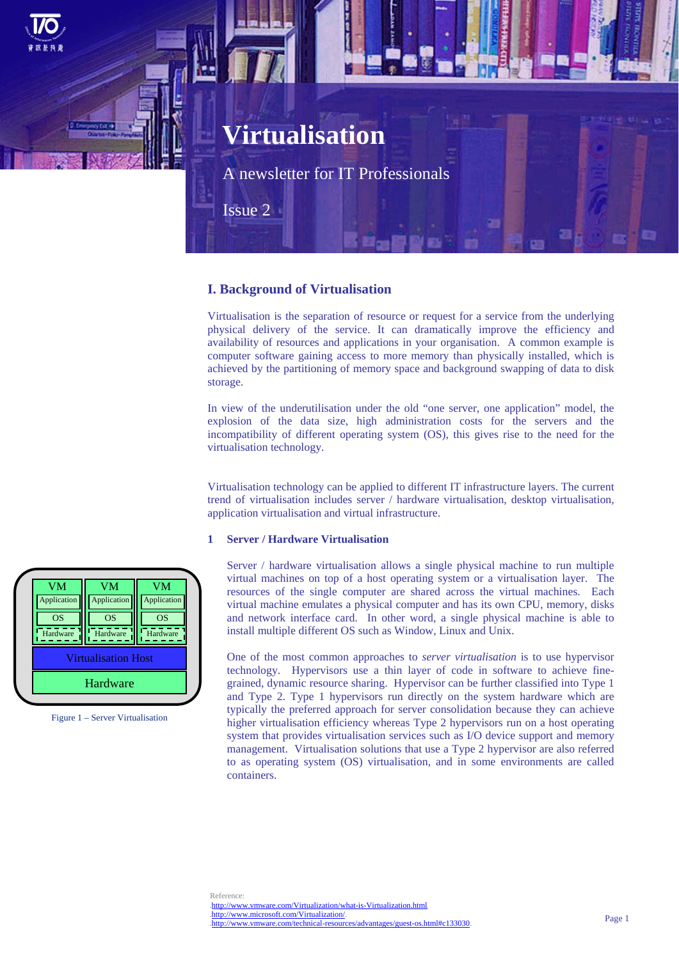

## **I. Background of Virtualisation**

Virtualisation is the separation of resource or request for a service from the underlying physical delivery of the service. It can dramatically improve the efficiency and availability of resources and applications in your organisation. A common example is computer software gaining access to more memory than physically installed, which is achieved by the partitioning of memory space and background swapping of data to disk storage.

In view of the underutilisation under the old "one server, one application" model, the explosion of the data size, high administration costs for the servers and the incompatibility of different operating system (OS), this gives rise to the need for the virtualisation technology.

Virtualisation technology can be applied to different IT infrastructure layers. The current trend of virtualisation includes server / hardware virtualisation, desktop virtualisation, application virtualisation and virtual infrastructure.

### **1 Server / Hardware Virtualisation**

Server / hardware virtualisation allows a single physical machine to run multiple virtual machines on top of a host operating system or a virtualisation layer. The resources of the single computer are shared across the virtual machines. Each virtual machine emulates a physical computer and has its own CPU, memory, disks and network interface card. In other word, a single physical machine is able to install multiple different OS such as Window, Linux and Unix.

One of the most common approaches to *server virtualisation* is to use hypervisor technology. Hypervisors use a thin layer of code in software to achieve finegrained, dynamic resource sharing. Hypervisor can be further classified into Type 1 and Type 2. Type 1 hypervisors run directly on the system hardware which are typically the preferred approach for server consolidation because they can achieve higher virtualisation efficiency whereas Type 2 hypervisors run on a host operating system that provides virtualisation services such as I/O device support and memory management. Virtualisation solutions that use a Type 2 hypervisor are also referred to as operating system (OS) virtualisation, and in some environments are called containers.

| <b>VM</b>   | VM                         | VM          |
|-------------|----------------------------|-------------|
| Application | Application                | Application |
| <b>OS</b>   | <b>OS</b>                  | <b>OS</b>   |
| Hardware    | Hardware                   | Hardware    |
|             | <b>Virtualisation Host</b> |             |
|             | Hardware                   |             |

Figure 1 – Server Virtualisation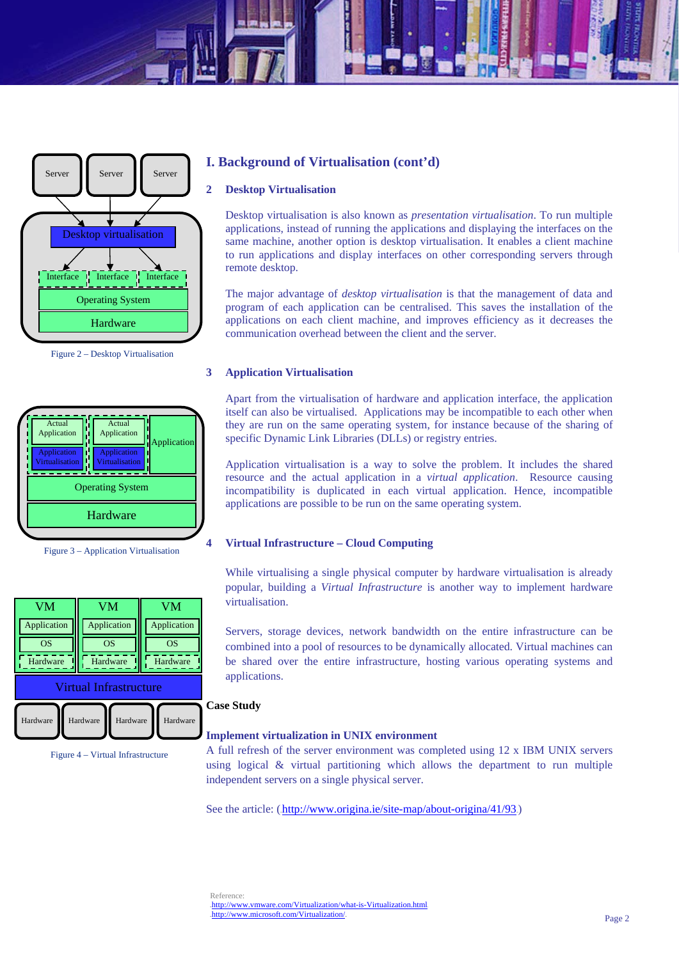

Figure 2 – Desktop Virtualisation



Figure 3 – Application Virtualisation



Figure 4 – Virtual Infrastructure

# **I. Background of Virtualisation (cont'd)**

### **2 Desktop Virtualisation**

Desktop virtualisation is also known as *presentation virtualisation*. To run multiple applications, instead of running the applications and displaying the interfaces on the same machine, another option is desktop virtualisation. It enables a client machine to run applications and display interfaces on other corresponding servers through remote desktop.

The major advantage of *desktop virtualisation* is that the management of data and program of each application can be centralised. This saves the installation of the applications on each client machine, and improves efficiency as it decreases the communication overhead between the client and the server.

### **3 Application Virtualisation**

Apart from the virtualisation of hardware and application interface, the application itself can also be virtualised. Applications may be incompatible to each other when they are run on the same operating system, for instance because of the sharing of specific Dynamic Link Libraries (DLLs) or registry entries.

Application virtualisation is a way to solve the problem. It includes the shared resource and the actual application in a *virtual application*. Resource causing incompatibility is duplicated in each virtual application. Hence, incompatible applications are possible to be run on the same operating system.

### **4 Virtual Infrastructure – Cloud Computing**

While virtualising a single physical computer by hardware virtualisation is already popular, building a *Virtual Infrastructure* is another way to implement hardware virtualisation.

Servers, storage devices, network bandwidth on the entire infrastructure can be combined into a pool of resources to be dynamically allocated. Virtual machines can be shared over the entire infrastructure, hosting various operating systems and applications.

## **Case Study**

#### **Implement virtualization in UNIX environment**

A full refresh of the server environment was completed using 12 x IBM UNIX servers using logical & virtual partitioning which allows the department to run multiple independent servers on a single physical server.

See the article: (http://www.origina.ie/site-map/about-origina/41/93.)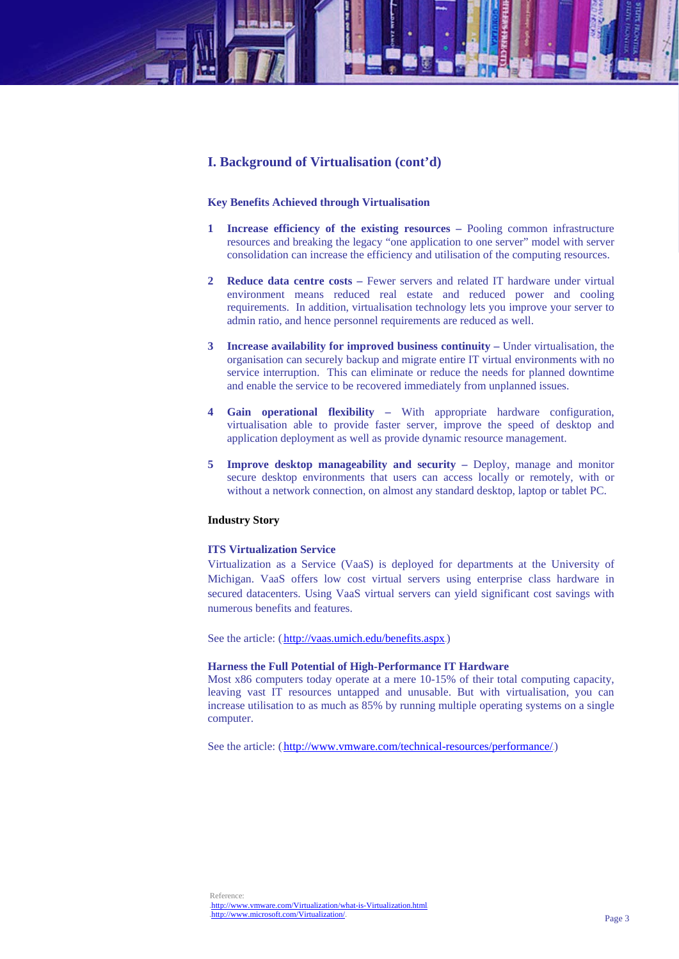# **I. Background of Virtualisation (cont'd)**

#### **Key Benefits Achieved through Virtualisation**

- **1 Increase efficiency of the existing resources** Pooling common infrastructure resources and breaking the legacy "one application to one server" model with server consolidation can increase the efficiency and utilisation of the computing resources.
- **2 Reduce data centre costs** Fewer servers and related IT hardware under virtual environment means reduced real estate and reduced power and cooling requirements. In addition, virtualisation technology lets you improve your server to admin ratio, and hence personnel requirements are reduced as well.
- **3 Increase availability for improved business continuity** Under virtualisation, the organisation can securely backup and migrate entire IT virtual environments with no service interruption. This can eliminate or reduce the needs for planned downtime and enable the service to be recovered immediately from unplanned issues.
- **4 Gain operational flexibility** With appropriate hardware configuration, virtualisation able to provide faster server, improve the speed of desktop and application deployment as well as provide dynamic resource management.
- **5 Improve desktop manageability and security** Deploy, manage and monitor secure desktop environments that users can access locally or remotely, with or without a network connection, on almost any standard desktop, laptop or tablet PC.

#### **Industry Story**

#### **ITS Virtualization Service**

Virtualization as a Service (VaaS) is deployed for departments at the University of Michigan. VaaS offers low cost virtual servers using enterprise class hardware in secured datacenters. Using VaaS virtual servers can yield significant cost savings with numerous benefits and features.

See the article: (.http://vaas.umich.edu/benefits.aspx.)

### **Harness the Full Potential of High-Performance IT Hardware**

Most x86 computers today operate at a mere 10-15% of their total computing capacity, leaving vast IT resources untapped and unusable. But with virtualisation, you can increase utilisation to as much as 85% by running multiple operating systems on a single computer.

See the article: (http://www.vmware.com/technical-resources/performance/)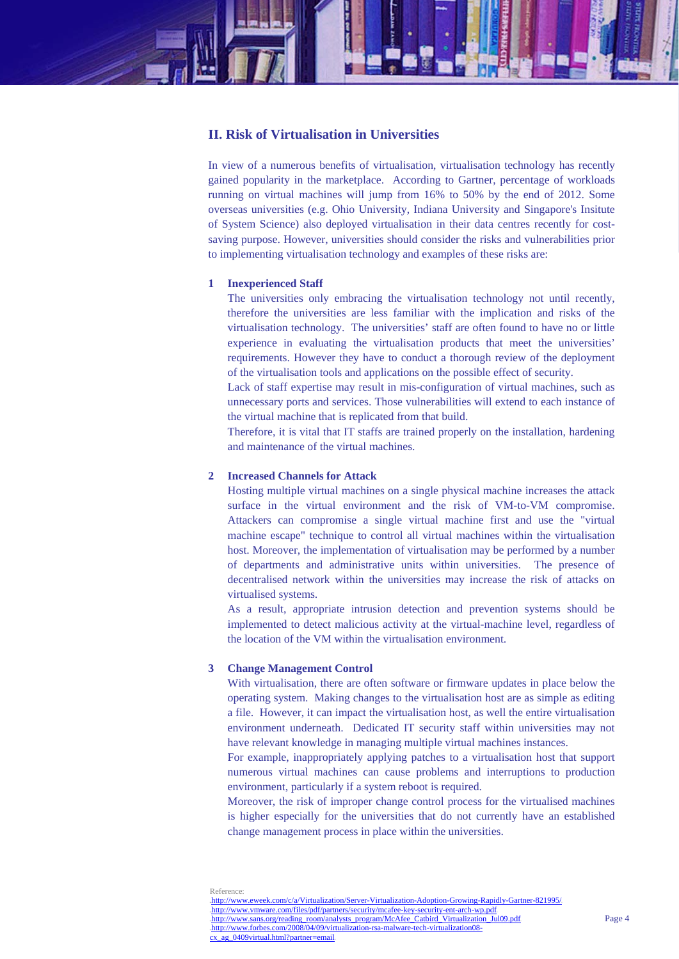

In view of a numerous benefits of virtualisation, virtualisation technology has recently gained popularity in the marketplace. According to Gartner, percentage of workloads running on virtual machines will jump from 16% to 50% by the end of 2012. Some overseas universities (e.g. Ohio University, Indiana University and Singapore's Insitute of System Science) also deployed virtualisation in their data centres recently for costsaving purpose. However, universities should consider the risks and vulnerabilities prior to implementing virtualisation technology and examples of these risks are:

## **1 Inexperienced Staff**

The universities only embracing the virtualisation technology not until recently, therefore the universities are less familiar with the implication and risks of the virtualisation technology. The universities' staff are often found to have no or little experience in evaluating the virtualisation products that meet the universities' requirements. However they have to conduct a thorough review of the deployment of the virtualisation tools and applications on the possible effect of security.

Lack of staff expertise may result in mis-configuration of virtual machines, such as unnecessary ports and services. Those vulnerabilities will extend to each instance of the virtual machine that is replicated from that build.

Therefore, it is vital that IT staffs are trained properly on the installation, hardening and maintenance of the virtual machines.

### **2 Increased Channels for Attack**

Hosting multiple virtual machines on a single physical machine increases the attack surface in the virtual environment and the risk of VM-to-VM compromise. Attackers can compromise a single virtual machine first and use the "virtual machine escape" technique to control all virtual machines within the virtualisation host. Moreover, the implementation of virtualisation may be performed by a number of departments and administrative units within universities. The presence of decentralised network within the universities may increase the risk of attacks on virtualised systems.

As a result, appropriate intrusion detection and prevention systems should be implemented to detect malicious activity at the virtual-machine level, regardless of the location of the VM within the virtualisation environment.

## **3 Change Management Control**

With virtualisation, there are often software or firmware updates in place below the operating system. Making changes to the virtualisation host are as simple as editing a file. However, it can impact the virtualisation host, as well the entire virtualisation environment underneath. Dedicated IT security staff within universities may not have relevant knowledge in managing multiple virtual machines instances.

For example, inappropriately applying patches to a virtualisation host that support numerous virtual machines can cause problems and interruptions to production environment, particularly if a system reboot is required.

Moreover, the risk of improper change control process for the virtualised machines is higher especially for the universities that do not currently have an established change management process in place within the universities.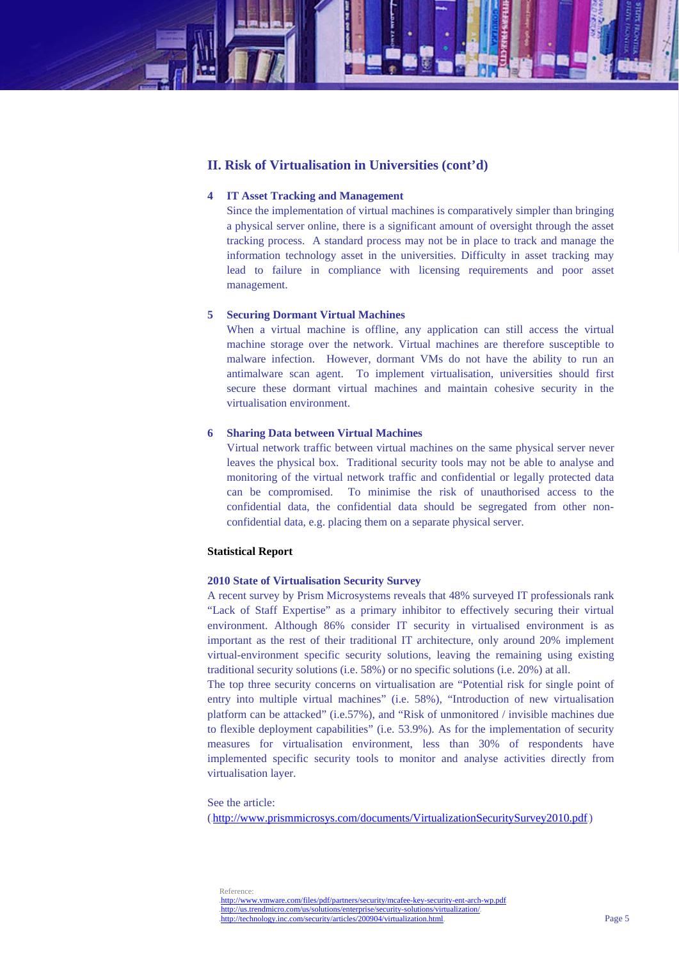## **II. Risk of Virtualisation in Universities (cont'd)**

## **4 IT Asset Tracking and Management**

Since the implementation of virtual machines is comparatively simpler than bringing a physical server online, there is a significant amount of oversight through the asset tracking process. A standard process may not be in place to track and manage the information technology asset in the universities. Difficulty in asset tracking may lead to failure in compliance with licensing requirements and poor asset management.

### **5 Securing Dormant Virtual Machines**

When a virtual machine is offline, any application can still access the virtual machine storage over the network. Virtual machines are therefore susceptible to malware infection. However, dormant VMs do not have the ability to run an antimalware scan agent. To implement virtualisation, universities should first secure these dormant virtual machines and maintain cohesive security in the virtualisation environment.

### **6 Sharing Data between Virtual Machines**

Virtual network traffic between virtual machines on the same physical server never leaves the physical box. Traditional security tools may not be able to analyse and monitoring of the virtual network traffic and confidential or legally protected data can be compromised. To minimise the risk of unauthorised access to the confidential data, the confidential data should be segregated from other nonconfidential data, e.g. placing them on a separate physical server.

#### **Statistical Report**

### **2010 State of Virtualisation Security Survey**

A recent survey by Prism Microsystems reveals that 48% surveyed IT professionals rank "Lack of Staff Expertise" as a primary inhibitor to effectively securing their virtual environment. Although 86% consider IT security in virtualised environment is as important as the rest of their traditional IT architecture, only around 20% implement virtual-environment specific security solutions, leaving the remaining using existing traditional security solutions (i.e. 58%) or no specific solutions (i.e. 20%) at all.

The top three security concerns on virtualisation are "Potential risk for single point of entry into multiple virtual machines" (i.e. 58%), "Introduction of new virtualisation platform can be attacked" (i.e.57%), and "Risk of unmonitored / invisible machines due to flexible deployment capabilities" (i.e. 53.9%). As for the implementation of security measures for virtualisation environment, less than 30% of respondents have implemented specific security tools to monitor and analyse activities directly from virtualisation layer.

See the article:

 $(\text{http://www.nrismmicrosys.com/documents/VirtualizationSecurity Survey2010.pdf})$ 

**Reference** 

<sup>.</sup>http://www.vmware.com/files/pdf/partners/security/mcafee-key-security-ent-arch-wp.pdf .http://us.trendmicro.com/us/solutions/enterprise/security-solutions/virtualization/. .http://technology.inc.com/security/articles/200904/virtualization.html.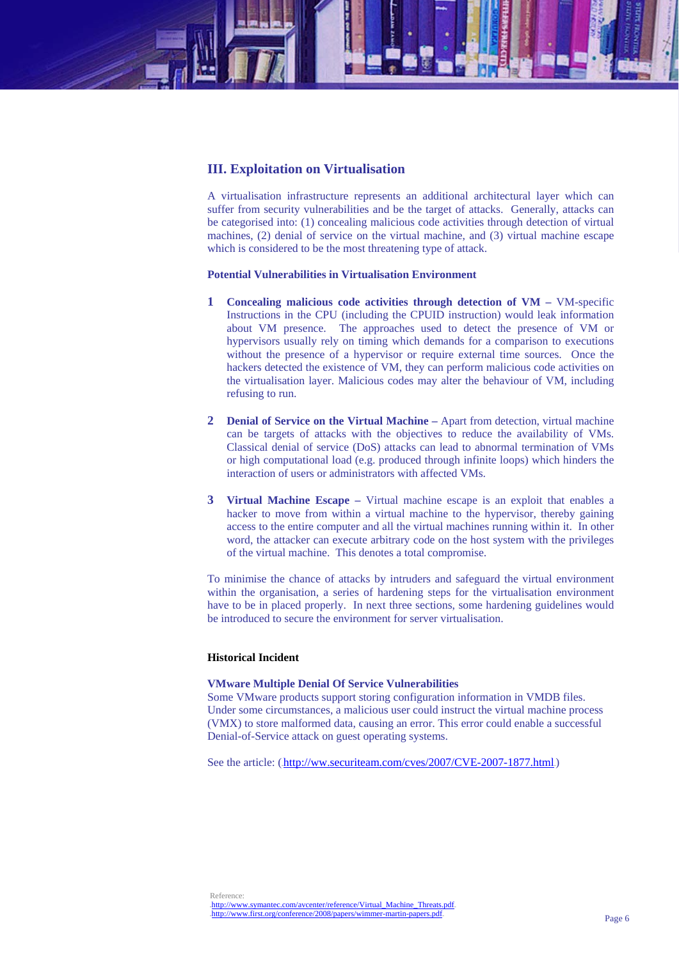# **III. Exploitation on Virtualisation**

A virtualisation infrastructure represents an additional architectural layer which can suffer from security vulnerabilities and be the target of attacks. Generally, attacks can be categorised into: (1) concealing malicious code activities through detection of virtual machines, (2) denial of service on the virtual machine, and (3) virtual machine escape which is considered to be the most threatening type of attack.

### **Potential Vulnerabilities in Virtualisation Environment**

- **1 Concealing malicious code activities through detection of VM** VM-specific Instructions in the CPU (including the CPUID instruction) would leak information about VM presence. The approaches used to detect the presence of VM or hypervisors usually rely on timing which demands for a comparison to executions without the presence of a hypervisor or require external time sources. Once the hackers detected the existence of VM, they can perform malicious code activities on the virtualisation layer. Malicious codes may alter the behaviour of VM, including refusing to run.
- **2 Denial of Service on the Virtual Machine** Apart from detection, virtual machine can be targets of attacks with the objectives to reduce the availability of VMs. Classical denial of service (DoS) attacks can lead to abnormal termination of VMs or high computational load (e.g. produced through infinite loops) which hinders the interaction of users or administrators with affected VMs.
- **3 Virtual Machine Escape** Virtual machine escape is an exploit that enables a hacker to move from within a virtual machine to the hypervisor, thereby gaining access to the entire computer and all the virtual machines running within it. In other word, the attacker can execute arbitrary code on the host system with the privileges of the virtual machine. This denotes a total compromise.

To minimise the chance of attacks by intruders and safeguard the virtual environment within the organisation, a series of hardening steps for the virtualisation environment have to be in placed properly. In next three sections, some hardening guidelines would be introduced to secure the environment for server virtualisation.

## **Historical Incident**

#### **VMware Multiple Denial Of Service Vulnerabilities**

Some VMware products support storing configuration information in VMDB files. Under some circumstances, a malicious user could instruct the virtual machine process (VMX) to store malformed data, causing an error. This error could enable a successful Denial-of-Service attack on guest operating systems.

See the article: (http://ww.securiteam.com/cves/2007/CVE-2007-1877.html.)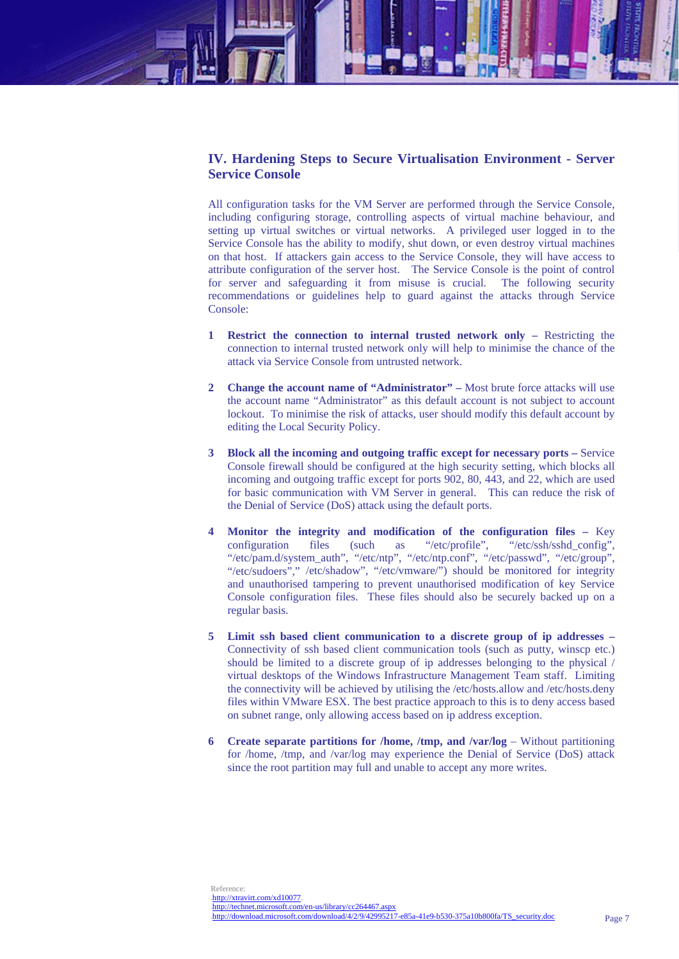# **IV. Hardening Steps to Secure Virtualisation Environment - Server Service Console**

All configuration tasks for the VM Server are performed through the Service Console, including configuring storage, controlling aspects of virtual machine behaviour, and setting up virtual switches or virtual networks. A privileged user logged in to the Service Console has the ability to modify, shut down, or even destroy virtual machines on that host. If attackers gain access to the Service Console, they will have access to attribute configuration of the server host. The Service Console is the point of control for server and safeguarding it from misuse is crucial. The following security recommendations or guidelines help to guard against the attacks through Service Console:

- **1 Restrict the connection to internal trusted network only** Restricting the connection to internal trusted network only will help to minimise the chance of the attack via Service Console from untrusted network.
- **2 Change the account name of "Administrator"** Most brute force attacks will use the account name "Administrator" as this default account is not subject to account lockout. To minimise the risk of attacks, user should modify this default account by editing the Local Security Policy.
- **3 Block all the incoming and outgoing traffic except for necessary ports** Service Console firewall should be configured at the high security setting, which blocks all incoming and outgoing traffic except for ports 902, 80, 443, and 22, which are used for basic communication with VM Server in general. This can reduce the risk of the Denial of Service (DoS) attack using the default ports.
- **4 Monitor the integrity and modification of the configuration files** Key configuration files (such as "/etc/profile", "/etc/ssh/sshd\_config", "/etc/pam.d/system\_auth", "/etc/ntp", "/etc/ntp.conf", "/etc/passwd", "/etc/group", "/etc/sudoers"," /etc/shadow", "/etc/vmware/") should be monitored for integrity and unauthorised tampering to prevent unauthorised modification of key Service Console configuration files. These files should also be securely backed up on a regular basis.
- **5 Limit ssh based client communication to a discrete group of ip addresses**  Connectivity of ssh based client communication tools (such as putty, winscp etc.) should be limited to a discrete group of ip addresses belonging to the physical / virtual desktops of the Windows Infrastructure Management Team staff. Limiting the connectivity will be achieved by utilising the /etc/hosts.allow and /etc/hosts.deny files within VMware ESX. The best practice approach to this is to deny access based on subnet range, only allowing access based on ip address exception.
- **6 Create separate partitions for /home, /tmp, and /var/log** Without partitioning for /home, /tmp, and /var/log may experience the Denial of Service (DoS) attack since the root partition may full and unable to accept any more writes.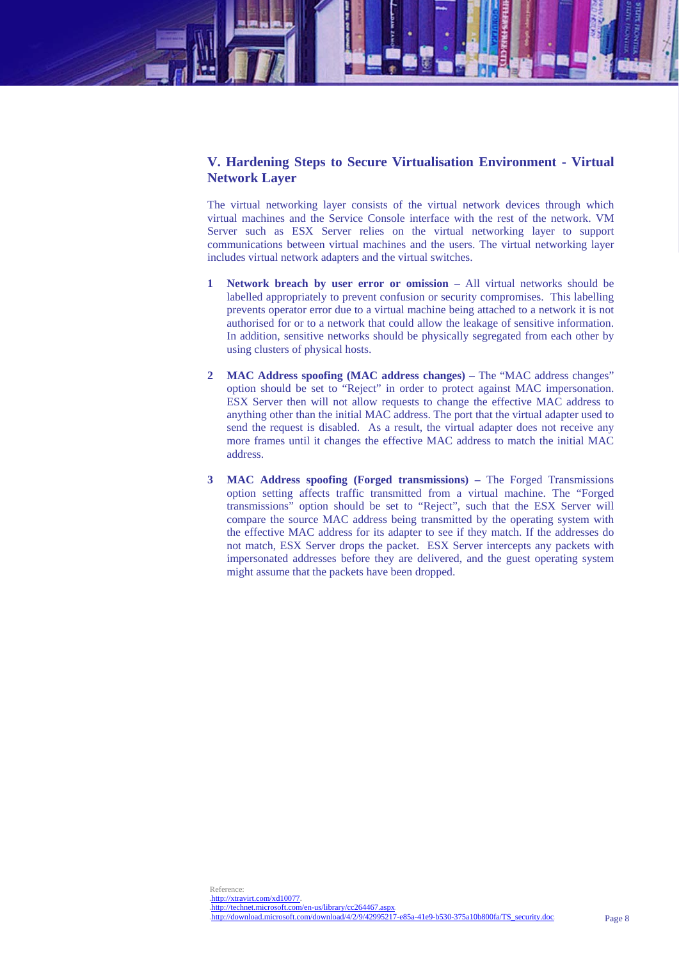# **V. Hardening Steps to Secure Virtualisation Environment - Virtual Network Layer**

The virtual networking layer consists of the virtual network devices through which virtual machines and the Service Console interface with the rest of the network. VM Server such as ESX Server relies on the virtual networking layer to support communications between virtual machines and the users. The virtual networking layer includes virtual network adapters and the virtual switches.

- **1 Network breach by user error or omission –** All virtual networks should be labelled appropriately to prevent confusion or security compromises. This labelling prevents operator error due to a virtual machine being attached to a network it is not authorised for or to a network that could allow the leakage of sensitive information. In addition, sensitive networks should be physically segregated from each other by using clusters of physical hosts.
- **2 MAC Address spoofing (MAC address changes) –** The "MAC address changes" option should be set to "Reject" in order to protect against MAC impersonation. ESX Server then will not allow requests to change the effective MAC address to anything other than the initial MAC address. The port that the virtual adapter used to send the request is disabled. As a result, the virtual adapter does not receive any more frames until it changes the effective MAC address to match the initial MAC address.
- **3 MAC Address spoofing (Forged transmissions) –** The Forged Transmissions option setting affects traffic transmitted from a virtual machine. The "Forged transmissions" option should be set to "Reject", such that the ESX Server will compare the source MAC address being transmitted by the operating system with the effective MAC address for its adapter to see if they match. If the addresses do not match, ESX Server drops the packet. ESX Server intercepts any packets with impersonated addresses before they are delivered, and the guest operating system might assume that the packets have been dropped.